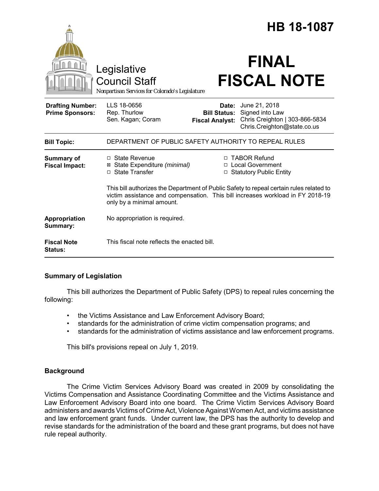|                                                   |                                                                                                                                                                                                        |                                                        | <b>HB 18-1087</b>                                                                                 |  |
|---------------------------------------------------|--------------------------------------------------------------------------------------------------------------------------------------------------------------------------------------------------------|--------------------------------------------------------|---------------------------------------------------------------------------------------------------|--|
|                                                   | Legislative<br><b>Council Staff</b><br>Nonpartisan Services for Colorado's Legislature                                                                                                                 |                                                        | <b>FINAL</b><br><b>FISCAL NOTE</b>                                                                |  |
| <b>Drafting Number:</b><br><b>Prime Sponsors:</b> | LLS 18-0656<br>Rep. Thurlow<br>Sen. Kagan; Coram                                                                                                                                                       | Date:<br><b>Bill Status:</b><br><b>Fiscal Analyst:</b> | June 21, 2018<br>Signed into Law<br>Chris Creighton   303-866-5834<br>Chris.Creighton@state.co.us |  |
| <b>Bill Topic:</b>                                | DEPARTMENT OF PUBLIC SAFETY AUTHORITY TO REPEAL RULES                                                                                                                                                  |                                                        |                                                                                                   |  |
| Summary of<br><b>Fiscal Impact:</b>               | $\Box$ State Revenue<br>⊠ State Expenditure (minimal)<br>□ State Transfer                                                                                                                              |                                                        | □ TABOR Refund<br>□ Local Government<br>□ Statutory Public Entity                                 |  |
|                                                   | This bill authorizes the Department of Public Safety to repeal certain rules related to<br>victim assistance and compensation. This bill increases workload in FY 2018-19<br>only by a minimal amount. |                                                        |                                                                                                   |  |
| Appropriation<br>Summary:                         | No appropriation is required.                                                                                                                                                                          |                                                        |                                                                                                   |  |
| <b>Fiscal Note</b><br>Status:                     | This fiscal note reflects the enacted bill.                                                                                                                                                            |                                                        |                                                                                                   |  |

#### **Summary of Legislation**

This bill authorizes the Department of Public Safety (DPS) to repeal rules concerning the following:

- the Victims Assistance and Law Enforcement Advisory Board;
- standards for the administration of crime victim compensation programs; and
- standards for the administration of victims assistance and law enforcement programs.

This bill's provisions repeal on July 1, 2019.

# **Background**

The Crime Victim Services Advisory Board was created in 2009 by consolidating the Victims Compensation and Assistance Coordinating Committee and the Victims Assistance and Law Enforcement Advisory Board into one board. The Crime Victim Services Advisory Board administers and awards Victims of Crime Act, Violence Against Women Act, and victims assistance and law enforcement grant funds. Under current law, the DPS has the authority to develop and revise standards for the administration of the board and these grant programs, but does not have rule repeal authority.